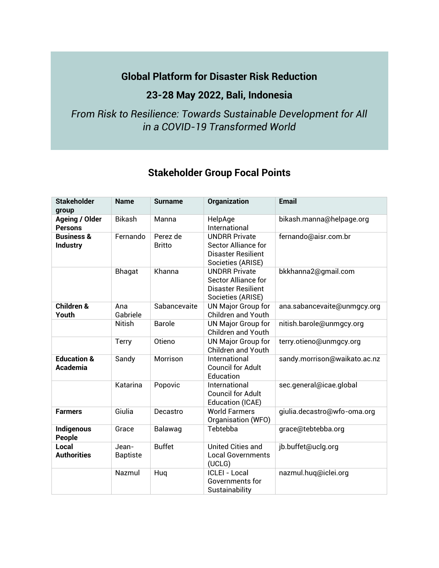## **Global Platform for Disaster Risk Reduction**

## **23-28 May 2022, Bali, Indonesia**

## *From Risk to Resilience: Towards Sustainable Development for All in a COVID-19 Transformed World*

## **Stakeholder Group Focal Points**

| <b>Stakeholder</b>                       | <b>Name</b>              | <b>Surname</b>            | Organization                                                                                         | <b>Email</b>                 |
|------------------------------------------|--------------------------|---------------------------|------------------------------------------------------------------------------------------------------|------------------------------|
| group                                    |                          |                           |                                                                                                      |                              |
| <b>Ageing / Older</b><br><b>Persons</b>  | <b>Bikash</b>            | Manna                     | HelpAge<br>International                                                                             | bikash.manna@helpage.org     |
| <b>Business &amp;</b><br><b>Industry</b> | Fernando                 | Perez de<br><b>Britto</b> | <b>UNDRR Private</b><br><b>Sector Alliance for</b><br>Disaster Resilient<br>Societies (ARISE)        | fernando@aisr.com.br         |
|                                          | Bhagat                   | Khanna                    | <b>UNDRR Private</b><br><b>Sector Alliance for</b><br><b>Disaster Resilient</b><br>Societies (ARISE) | bkkhanna2@gmail.com          |
| <b>Children &amp;</b><br>Youth           | Ana<br>Gabriele          | Sabancevaite              | <b>UN Major Group for</b><br><b>Children and Youth</b>                                               | ana.sabancevaite@unmgcy.org  |
|                                          | <b>Nitish</b>            | <b>Barole</b>             | <b>UN Major Group for</b><br><b>Children and Youth</b>                                               | nitish.barole@unmgcy.org     |
|                                          | <b>Terry</b>             | Otieno                    | <b>UN Major Group for</b><br><b>Children and Youth</b>                                               | terry.otieno@unmgcy.org      |
| <b>Education &amp;</b><br>Academia       | Sandy                    | Morrison                  | International<br><b>Council for Adult</b><br>Education                                               | sandy.morrison@waikato.ac.nz |
|                                          | Katarina                 | Popovic                   | International<br><b>Council for Adult</b><br><b>Education (ICAE)</b>                                 | sec.general@icae.global      |
| <b>Farmers</b>                           | Giulia                   | Decastro                  | <b>World Farmers</b><br>Organisation (WFO)                                                           | giulia.decastro@wfo-oma.org  |
| <b>Indigenous</b><br>People              | Grace                    | Balawag                   | Tebtebba                                                                                             | grace@tebtebba.org           |
| Local<br><b>Authorities</b>              | Jean-<br><b>Baptiste</b> | <b>Buffet</b>             | <b>United Cities and</b><br><b>Local Governments</b><br>(UCLG)                                       | jb.buffet@uclg.org           |
|                                          | Nazmul                   | Huq                       | <b>ICLEI - Local</b><br>Governments for<br>Sustainability                                            | nazmul.huq@iclei.org         |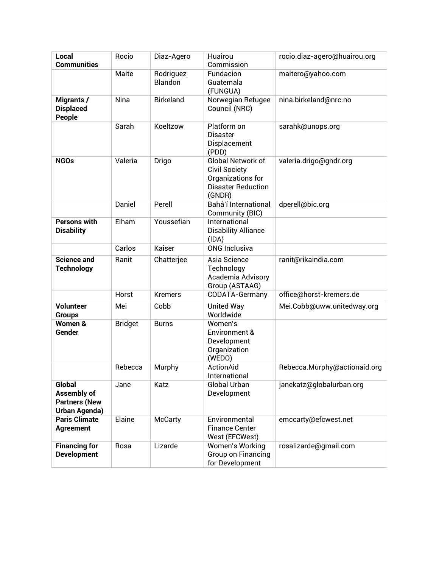| Local<br><b>Communities</b>                                                  | Rocio          | Diaz-Agero           | Huairou<br>Commission                                                                                 | rocio.diaz-agero@huairou.org |
|------------------------------------------------------------------------------|----------------|----------------------|-------------------------------------------------------------------------------------------------------|------------------------------|
|                                                                              | Maite          | Rodriguez<br>Blandon | Fundacion<br>Guatemala<br>(FUNGUA)                                                                    | maitero@yahoo.com            |
| Migrants /<br><b>Displaced</b><br>People                                     | Nina           | <b>Birkeland</b>     | Norwegian Refugee<br>Council (NRC)                                                                    | nina.birkeland@nrc.no        |
|                                                                              | Sarah          | Koeltzow             | Platform on<br><b>Disaster</b><br>Displacement<br>(PDD)                                               | sarahk@unops.org             |
| <b>NGOs</b>                                                                  | Valeria        | Drigo                | Global Network of<br><b>Civil Society</b><br>Organizations for<br><b>Disaster Reduction</b><br>(GNDR) | valeria.drigo@gndr.org       |
|                                                                              | Daniel         | Perell               | Bahá'í International<br>Community (BIC)                                                               | dperell@bic.org              |
| <b>Persons with</b><br><b>Disability</b>                                     | Elham          | Youssefian           | International<br><b>Disability Alliance</b><br>(IDA)                                                  |                              |
|                                                                              | Carlos         | Kaiser               | <b>ONG Inclusiva</b>                                                                                  |                              |
| <b>Science and</b><br><b>Technology</b>                                      | Ranit          | Chatterjee           | Asia Science<br>Technology<br>Academia Advisory<br>Group (ASTAAG)                                     | ranit@rikaindia.com          |
|                                                                              | Horst          | <b>Kremers</b>       | CODATA-Germany                                                                                        | office@horst-kremers.de      |
| <b>Volunteer</b><br><b>Groups</b>                                            | Mei            | Cobb                 | <b>United Way</b><br>Worldwide                                                                        | Mei.Cobb@uww.unitedway.org   |
| Women &<br>Gender                                                            | <b>Bridget</b> | <b>Burns</b>         | Women's<br>Environment &<br>Development<br>Organization<br>(WEDO)                                     |                              |
|                                                                              | Rebecca        | Murphy               | ActionAid<br>International                                                                            | Rebecca.Murphy@actionaid.org |
| <b>Global</b><br>Assembly of<br><b>Partners (New</b><br><b>Urban Agenda)</b> | Jane           | Katz                 | Global Urban<br>Development                                                                           | janekatz@globalurban.org     |
| <b>Paris Climate</b><br><b>Agreement</b>                                     | Elaine         | <b>McCarty</b>       | Environmental<br><b>Finance Center</b><br>West (EFCWest)                                              | emccarty@efcwest.net         |
| <b>Financing for</b><br><b>Development</b>                                   | Rosa           | Lizarde              | <b>Women's Working</b><br>Group on Financing<br>for Development                                       | rosalizarde@gmail.com        |